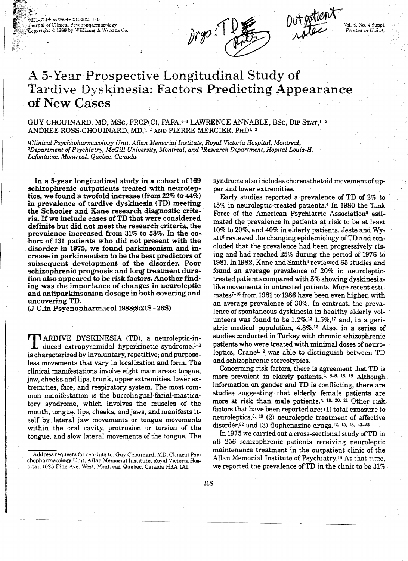10779-86-5804-1115302.10.0 fournal of Clinical Psychopharmacology Spyright C 1988 by Williams & Wilkins Co.

prop : 1 l

Outportlent Vol. 3, No. 4 Suppi. Printed in  $U.S.A$ .

# A 5-Year Prospective Longitudinal Study of Tardive Dyskinesia: Factors Predicting Appearance of New Cases

GUY CHOUINARD, MD, MSc, FRCP(C), FAPA,<sup>1-3</sup> LAWRENCE ANNABLE, BSc, DIP STAT,<sup>1, 2</sup> ANDREE ROSS-CHOUINARD, MD,<sup>1,2</sup> AND PIERRE MERCIER, PHD<sup>1,2</sup>

<sup>1</sup>Clinical Psychopharmacology Unit, Allan Memorial Institute, Royal Victoria Hospital, Montreal, <sup>2</sup>Department of Psychiatry, McGill University, Montreal, and <sup>3</sup>Research Department, Hopital Louis-H. Lafontaine, Montreal, Quebec, Canada

In a 5-year longitudinal study in a cohort of 169 schizophrenic outpatients treated with neuroleptics, we found a twofold increase (from 22% to 44%) in prevalence of tardive dyskinesia (TD) meeting the Schooler and Kane research diagnostic criteria. If we include cases of TD that were considered definite but did not meet the research criteria, the prevalence increased from 31% to 58%. In the cohort of 131 patients who did not present with the disorder in 1975, we found parkinsonism and increase in parkinsonism to be the best predictors of subsequent development of the disorder. Poor schizophrenic prognosis and long treatment duration also appeared to be risk factors. Another finding was the importance of changes in neuroleptic and antiparkinsonian dosage in both covering and uncovering TD.

(J Clin Psychopharmacol 1988;8:21S-26S)

**TARDIVE DYSKINESIA (TD), a neuroleptic-in**duced extrapyramidal hyperkinetic syndrome,<sup>1-3</sup> is characterized by involuntary, repetitive, and purposeless movements that vary in localization and form. The clinical manifestations involve eight main areas: tongue, jaw, cheeks and lips, trunk, upper extremities, lower extremities, face, and respiratory system. The most common manifestation is the buccolingual-facial-masticatory syndrome, which involves the muscles of the mouth, tongue, lips, cheeks, and jaws, and manifests itself by lateral jaw movements or tongue movements within the oral cavity, protrusion or torsion of the tongue, and slow lateral movements of the tongue. The

syndrome also includes choreoathetoid movement of upper and lower extremities.

Early studies reported a prevalence of TD of 2% to 15% in neuroleptic-treated patients.<sup>4</sup> In 1980 the Task Force of the American Psychiatric Association<sup>5</sup> estimated the prevalence in patients at risk to be at least 10% to 20%, and 40% in elderly patients. Jeste and Wyatt<sup>6</sup> reviewed the changing epidemiology of TD and concluded that the prevalence had been progressively rising and had reached 25% during the period of 1976 to 1981. In 1982, Kane and Smith<sup>4</sup> reviewed 65 studies and found an average prevalence of 20% in neuroleptictreated patients compared with 5% showing dyskinesialike movements in untreated patients. More recent estimates<sup>7-16</sup> from 1981 to 1986 have been even higher, with an average prevalence of 30%. In contrast, the prevalence of spontaneous dyskinesia in healthy elderly volunteers was found to be  $1.2\%,$ <sup>12</sup>  $1.5\%,$ <sup>17</sup> and, in a geriatric medical population, 4.8%.<sup>12</sup> Also, in a series of studies conducted in Turkey with chronic schizophrenic patients who were treated with minimal doses of neuroleptics, Crane<sup>1, 2</sup> was able to distinguish between TD and schizophrenic stereotypies.

Concerning risk factors, there is agreement that TD is more prevalent in elderly patients.<sup>4, 6-8, 18, 19</sup> Although information on gender and TD is conflicting, there are studies suggesting that elderly female patients are more at risk than male patients.<sup>4, 18, 20, 21</sup> Other risk factors that have been reported are: (1) total exposure to neuroleptics,<sup>8, 19</sup> (2) neuroleptic treatment of affective disordér,<sup>22</sup> and (3) fluphenazine drugs.<sup>12, 15, 18, 23-25</sup>

In 1975 we carried out a cross-sectional study of TD in all 256 schizophrenic patients receiving neuroleptic maintenance treatment in the outpatient clinic of the Allan Memorial Institute of Psychiatry.<sup>18</sup> At that time. we reported the prevalence of TD in the clinic to be  $31\%$ 

Address requests for reprints to: Guy Chouinard, MD, Clinical Psychopharmacology Unit, Allan Memorial Institute, Royal Victoria Hospital, 1025 Pine Ave. West, Montreal, Quebec, Canada H3A 1A1.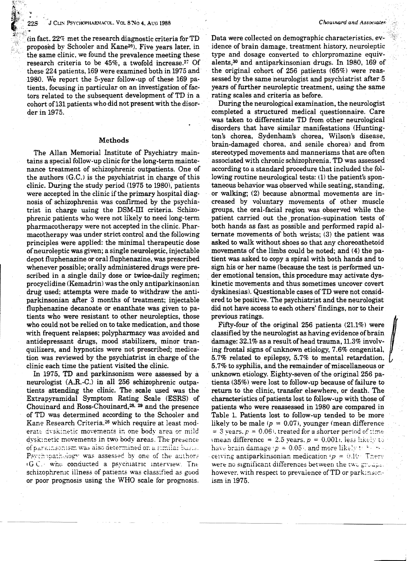$\sin$  fact. 22% met the research diagnostic criteria for TD proposed by Schooler and Kane<sup>26</sup>). Five years later, in the same clinic, we found the prevalence meeting these research criteria to be 45%, a twofold increase.27 Of these 224 patients, 169 were examined both in 1975 and 1980. We report the 5-year follow-up of these 169 patients. focusing in particular on an investigation of factors related to' the subsequent development of TD in a cohort of131 patients who did not present with the disor- . der in 1975.

### Methods

The Allan Memorial Institute of Psychiatry maintains a special follow-up clinic for the long-term maintenance treatment of schizophrenic outpatients. One of the authors  $(G.C.)$  is the psychiatrist in charge of this clinic. During the study period (1975 to 1980), patients were accepted in the clinic if the primary hospital diagnosis of schizophrenia was confirmed by the psychiatrist in charge using the DSM-Ill criteria. Schizophrenic patients who were not likely to need long-term pharmacotherapy were not accepted in the clinic. Pharmacotherapy was under strict control and the following principles were applied: the minimal therapeutic dose ofneuroleptic was given; a single neuroleptic, injectable depot fluphenazine or oral fluphenazine, was prescribed whenever possible; orally administered drugs were prescribed in a single daily dose or twice-daily regimen; procyclidine (Kemadrin) was the only antiparkinsonian drug used; attempts were made to withdraw the antiparkinsonian after 3 months of treatment; injectable fluphenazine decanoate or enanthate was given to patients who were resistant to other neuroleptics, those who could not be relied on to take medication, and those with frequent relapses; polypharmacy was avoided and antidepressant drugs, mood stabilizers, minor tranquilizers, and hypnotics were not prescribed; medication was reviewed by the psychiatrist in charge of the clinic each time the patient visited the clinic.

In 1975, TD and parkinsonism were assessed by a neurologist (A.R.-C.) in all 256 schizophrenic outpatients attending the clinic. The. scale used was the Extrapyramidal Symptom Rating Scale (ESRS) of Chouinard and Ross-Chouinard.28• 29 and the presence of TD was determined according to the Schooler and Kane Research Criteria.26 which require at least moderate dyskinetic movements in one body area or mild dysk: netic movements in two body areas. The presence of paramsonism was also determined on a similar basis. Psychopathology was assessed by one of the authors  $IG.C.$  who conducted a psychiatric interview. The schizophrenic illness of patients was classified as good or poor prognosis using the WHO scale for prognosis.

Data were collected on demographic characteristics; evidence of brain damage, treatment history, neuroieptic type and dosage converted to chlorpromazine equivalents,30 and antiparkinsonian drugs. In 1980, 169 of the original cohort of 256 patients (65%) were reassessed by the same neurologist and psychiatrist after 5 years of further neuroleptic treatment, using the same rating scales and criteria as before.

During the neurological examination, the neurologist completed a structured medical questionnaire. Care was taken to differentiate TD from other neurological disorders that have similar manifestations (Huntington's chorea, Sydenham's chorea, Wilson's disease, brain-damaged chorea. and senile chorea) and from stereotyped movements and mannerisms that are often associated with chronic schizophrenia. TD was assessed' according to a standard procedure that included the following routine neurological tests: (1) the patient's spontaneous behavior was observed while seating, standing, or walking; {2) because abnormal movements are increased by voluntary movements of other muscle groups, the oral-facial region was observed while the· patient carried out the, pronation-supination tests of' both hands as fast as possible and performed rapid alternate movements of both wrists; (3) the patient was asked to walk without shoes so that any choreoathetoid movements of the limbs could be noted; and (4) the patient was asked to copy a spiral with both hands and to sign his or her name (because the test is performed under emotional tension, this procedure may activate dyskinetic movements and thus sometimes uncover covert dyskinesias). Questionable cases of TD were not considered to be positive. The psychiatrist and the neurologist did not have access to each others' findings, nor to their previous ratings.

Fifty-four of the original 256 patients {21.1%) were classified by the neurologist as having evidence of brain damage:  $32.1\%$  as a result of head trauma,  $11.3\%$  involving frontal signs of unknown etiology, 7.6% congenital, 5.7% related to epilepsy, 5.7% to mental retardation, 5.7% to syphilis, and the remainder of miscellaneous or unknown etiology. Eighty-seven of the original 256 patients (35%) were lost to follow-up because of failure to return to the clinic, transfer elsewhere, or death. The characteristics of patients lost to follow-up with those of patients who were reassessed in 1980 are compared in Table 1. Patients lost to follow-up tended to be more likely to be male ( $p = 0.07$ ), younger (mean difference = 3 years.  $p = 0.06$ ), treated for a shorter period of time (mean difference = 2.5 years,  $p = 0.001i$ . less likely to have brain damage  $\left(p = 0.05\right)$ , and more likely to be seen ce!ving antiparkinsonian medication  $p = 0.10$  There were no significant differences between the two groups. however, with respect to prevalence of  $TD$  or park: $n$ sonism in 1975.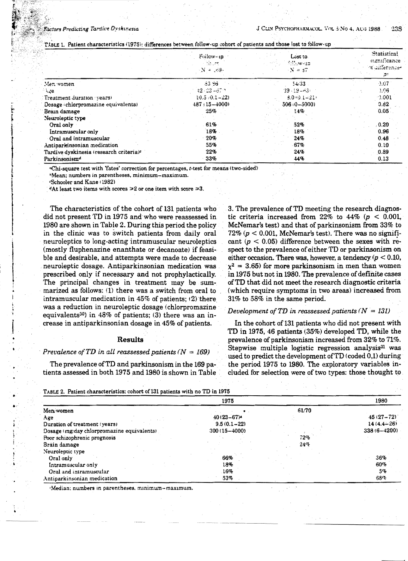TABLE 1. Patient characteristics (1975); differences between follow-up cohort of patients and those lost to follow-up

|                                                     | Follow-10<br>liburt.<br>$\sqrt{N} = 169.$ | Lost to.<br>Sillow-da<br>$N = 37$ | Statistical<br>stanticance.<br>ot difference.<br>$\mathcal{P}^{\star}$ |
|-----------------------------------------------------|-------------------------------------------|-----------------------------------|------------------------------------------------------------------------|
| Men vomen                                           | 83.86                                     | 34.33                             | $-2.07$                                                                |
| ' ∖∡e.                                              | $42.23 - 67.2$                            | $39 - 19 - 63 =$                  | 1.06                                                                   |
| Treatment duration vears)                           | $10.5 \cdot 0.1 - 22$                     | $3.0 + 0.1 - 21$                  | $-0.001$                                                               |
| Dosage (chlorpromazine equivalents)                 | $487:15 - 4000$                           | $506(0 - 5000)$                   | 0.82                                                                   |
| Brain damage                                        | 25%                                       | 14%                               | 0.05                                                                   |
| Neuroleptic type                                    |                                           |                                   |                                                                        |
| Oral only                                           | 61%                                       | 52%                               | 0.20                                                                   |
| Intramuscular only                                  | 18%                                       | 18%                               | 0.96                                                                   |
| Oral and intramuscular                              | 20%                                       | 24%                               | 0.48                                                                   |
| Antiparkinsonian medication                         | 55%                                       | 67%                               | 0.10                                                                   |
| Tardive dyskinesia (research criteria) <sup>c</sup> | 22%                                       | 24%                               | 0.89                                                                   |
| Parkinsonism <sup>d</sup>                           | 33%                                       | 44%                               | 0.13                                                                   |

<sup>a</sup>Chi-square test with Yates' correction for percentages, t-test for means (two-sided)

<sup>5</sup>Mean; numbers in parentheses, minimum-maximum.

<Schooler and Kane (1982)

<sup>4</sup>At least two items with scores  $\geq 2$  or one item with score  $\geq 3$ .

The characteristics of the cohort of 131 patients who did not present TD in 1975 and who were reassessed in 1980 are shown in Table 2. During this period the policy in the clinic was to switch patients from daily oral neuroleptics to long-acting intramuscular neuroleptics (mostly fluphenazine enanthate or decanoate) if feasible and desirable, and attempts were made to decrease neuroleptic dosage. Antiparkinsonian medication was prescribed only if necessary and not prophylactically. The principal changes in treatment may be summarized as follows: (1) there was a switch from oral to intramuscular medication in 45% of patients: (2) there was a reduction in neuroleptic dosage (chlorpromazine equivalents<sup>30</sup>) in 48% of patients; (3) there was an increase in antiparkinsonian dosage in 45% of patients.

## **Results**

## Prevalence of TD in all reassessed patients ( $N = 169$ )

The prevalence of TD and parkinsonism in the 169 patients assessed in both 1975 and 1980 is shown in Table

3. The prevalence of TD meeting the research diagnostic criteria increased from 22% to 44% ( $p < 0.001$ ), McNemar's test) and that of parkinsonism from 33% to 72% ( $p < 0.001$ , McNemar's test). There was no significant ( $p < 0.05$ ) difference between the sexes with respect to the prevalence of either TD or parkinsonism on either occasion. There was, however, a tendency ( $p < 0.10$ ,  $x^2 = 3.65$ ) for more parkinsonism in men than women in 1975 but not in 1980. The prevalence of definite cases of TD that did not meet the research diagnostic criteria (which require symptoms in two areas) increased from 31% to 58% in the same period.

## Development of TD in reassessed patients  $(N = 131)$

In the cohort of 131 patients who did not present with TD in 1975, 46 patients (35%) developed TD, while the prevalence of parkinsonism increased from 32% to 71%. Stepwise multiple logistic regression analysis<sup>31</sup> was used to predict the development of TD (coded 0,1) during the period 1975 to 1980. The exploratory variables included for selection were of two types: those thought to

| TABLE 2. Patient characteristics; conort of folloadents with no TD in 1970 |                            |       |                 |
|----------------------------------------------------------------------------|----------------------------|-------|-----------------|
|                                                                            | 1975                       |       | 1980            |
| Men/women                                                                  |                            | 61/70 |                 |
| Age                                                                        | $40(23 - 67)$ <sup>4</sup> |       | $45(27 - 72)$   |
| Duration of treatment (years)                                              | $9.5(0.1 - 22)$            |       | $14(4.4 - 26)$  |
| Dosage (mg/day chlorpromazine equivalents)                                 | $300(15 - 4000)$           |       | $338(6 - 4200)$ |
| Poor schizophrenic prognosis                                               |                            | 72%   |                 |
| Brain damage                                                               |                            | 24%   |                 |
| Neuroleptic type                                                           |                            |       |                 |
| Oral only                                                                  | 66%                        |       | 36%             |
| Intramuscular only                                                         | 18%                        |       | 60%             |
| Oral and intramuscular                                                     | 16%                        |       | 5%              |
| Antiparkinsonian medication                                                | 53%                        |       | 68%             |

'Median; numbers in parentheses, minimum-maximum.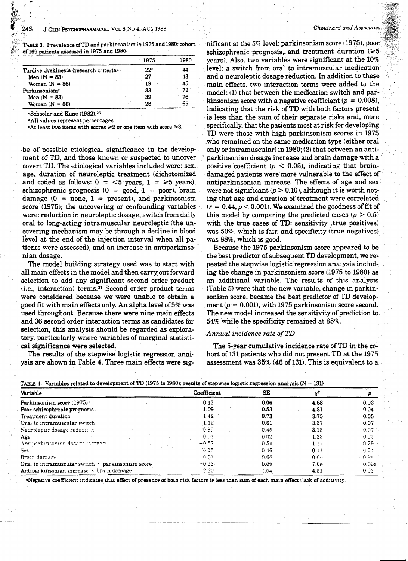TABLE 3. Prevalence of TD and parkinsonism in 1975 and 1980: cohort. of 169 patients assessed in 1975 and 1980

|                                                     | 1975 | 1980 |
|-----------------------------------------------------|------|------|
| Tardive dyskinesia (research criteria <sup>a)</sup> | 22°  | 44   |
| Men $(N = 83)$                                      | 27   | 43   |
| Women $(N = 86)$                                    | 19   | 45   |
| Parkinsonism                                        | 33   | 72   |
| Men $(N = 83)$                                      | 39   | 76   |
| Women $(N = 86)$                                    | 28   | 69   |

<sup>a</sup>Schooler and Kane (1982).<sup>26</sup>

<sup>6</sup>All values represent percentages.

**At least two items with scores**  $\geq 2$  **or one item with score**  $\geq 3$ **.** 

be of possible etiological significance in the development of TD, and those known or suspected to uncover covert TD. The etiological variables included were: sex, age, duration of neuroleptic treatment (dichotomized and coded as follows:  $0 = 5$  years,  $1 = \ge 5$  years), schizophrenic prognosis  $(0 = good, 1 = poor)$ , brain damage  $(0 = none, 1 = present)$ , and parkinsonism score (1975); the uncovering or confounding variables were: reduction in neuroleptic dosage, switch from daily oral to long-acting intramuscular neuroleptic (the uncovering mechanism may be through a decline in blood level at the end of the injection interval when all patients were assessed), and an increase in antiparkinsonian dosage.

The model building strategy used was to start with all main effects in the model and then carry out forward selection to add any significant second order product (i.e., interaction) terms.<sup>31</sup> Second order product terms were considered because we were unable to obtain a good fit with main effects only. An alpha level of 5% was used throughout. Because there were nine main effects and 36 second order interaction terms as candidates for selection, this analysis should be regarded as exploratory, particularly where variables of marginal statistical significance were selected.

The results of the stepwise logistic regression analvsis are shown in Table 4. Three main effects were significant at the  $5\%$  level: parkinsonism score (1975), poor schizophrenic prognosis, and treatment duration  $( \ge 5$ vears). Also, two variables were significant at the 10% level: a switch from oral to intramuscular medication and a neuroleptic dosage reduction. In addition to these main effects, two interaction terms were added to the model: (1) that between the medication switch and parkinsonism score with a negative coefficient ( $p = 0.008$ ), indicating that the risk of TD with both factors present is less than the sum of their separate risks and, more specifically, that the patients most at risk for developing TD were those with high parkinsonism scores in 1975 who remained on the same medication type (either oral only or intramuscular) in 1980; (2) that between an antiparkinsonian dosage increase and brain damage with a positive coefficient ( $p < 0.05$ ), indicating that braindamaged patients were more vulnerable to the effect of antiparkinsonian increase. The effects of age and sex were not significant  $(p > 0.10)$ , although it is worth noting that age and duration of treatment were correlated  $(r = 0.44, p < 0.001)$ . We examined the goodness of fit of this model by comparing the predicted cases  $(p > 0.5)$ with the true cases of TD: sensitivity (true positives) was 50%, which is fair, and specificity (true negatives) was 88%, which is good.

Because the 1975 parkinsonism score appeared to be the best predictor of subsequent TD development, we repeated the stepwise logistic regression analysis including the change in parkinsonism score (1975 to 1980) as an additional variable. The results of this analysis (Table 5) were that the new variable, change in parkinsonism score, became the best predictor of TD development ( $p = 0.001$ ), with 1975 parkinsonism score second. The new model increased the sensitivity of prediction to 54% while the specificity remained at 88%.

# Annual incidence rate of TD

The 5-year cumulative incidence rate of TD in the cohort of 131 patients who did not present TD at the 1975 assessment was 35% (46 of 131). This is equivalent to a

|  | TABLE 4. Variables related to development of TD (1975 to 1980); results of stepwise logistic regression analysis ( $N = 131$ ) |  |  |
|--|--------------------------------------------------------------------------------------------------------------------------------|--|--|
|  |                                                                                                                                |  |  |

| Variable                                                  | Coefficient | SE    |                   |           |
|-----------------------------------------------------------|-------------|-------|-------------------|-----------|
| Parkinsonism score (1975)                                 | 0.13        | 0.06  | 4.68              | 0.03      |
| Poor schizophrenic prognosis                              | 1.09        | 0.53  | 4.31              | 0.04      |
| Treatment duration                                        | 1.42        | 0.73  | 3.75              | 0.05      |
| Oral to intramuscular switch                              | 1.12        | 0.61  | 3.37              | 0.07      |
| Neuroleptic dosage reduction                              | $-0.89$     | 0.45  | 3.18              | $-0.07$ . |
| Age                                                       | 0.03        | 0.02  | 1.33 <sub>°</sub> | 0.25      |
| Antibarkinsonian dosart increase                          | $-0.57$     | 0.54  | 1.11              | 0.29      |
| Sex.                                                      | 10.15       | 0.46  | 0.11              | $0.74 -$  |
| Brain damage                                              | $-0.01$     | 0.66. | 0.00              | - 0.9+    |
| Oral to intramuscular switch $\times$ parkinsonism score. | $-0.23-$    | 6.09  | 7.08              | 0.006     |
| Antiparkinsonian increase v brain damage                  | 2.20        | 1.04  | 4.51              | 0.03      |

"Negative coefficient indicates that effect of presence of both risk factors is less than sum of each main effect tlack of additivity.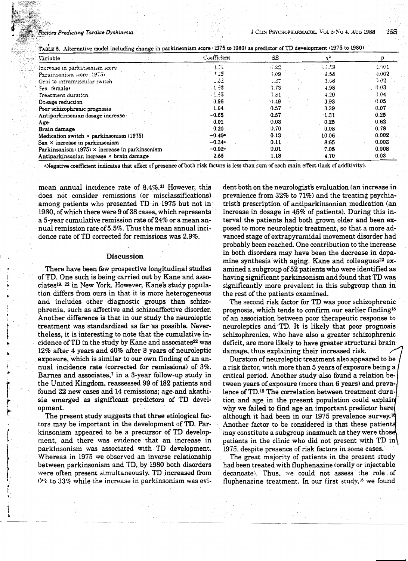#### ors Predicting Tardive Dyskinesia

|  |  |  |  | TABLE 5. Alternative model including change in parkinsonism score (1975 to 1980) as predictor of TD development (1975 to 1980) |  |
|--|--|--|--|--------------------------------------------------------------------------------------------------------------------------------|--|
|  |  |  |  |                                                                                                                                |  |

| Väriable                                              | Coefficient          | <b>SE</b> | $\mathbf{v}^2$ |         |
|-------------------------------------------------------|----------------------|-----------|----------------|---------|
| increase in parkinsonism score                        | 4.TL                 | $-22$     | 10.59          | 1901    |
| Parkinsonism score 1975)                              | 9.29                 | -1.09     | 9.58           | 0.002   |
| Orai to intramuscular switch                          | . 2                  | . 37      | - 5.56         | 202     |
| Sex temale                                            | 1.63                 | 0.73      | 4.98           | 0.03    |
| Treatment duration                                    | ್ಲಿಕಿಕ               | ੀ ਤੀ-     | 4.20           | $-0.04$ |
| Dosage reduction                                      | 0.96                 | 0.49      | 3.93           | 0.05    |
| Poor schizophrenic prognosis                          | $1.04 -$             | 0.57      | 3.39           | 0.07    |
| Antiparkinsonian dosage increase                      | $-0.65$              | 0.57      | $-1.31$        | 0.25    |
| Age                                                   | 0.01                 | 0.03      | 0.25           | 0.62    |
| Brain damage                                          | 0.20                 | 0.70      | 0.08           | 0.78    |
| Medication switch $\times$ parkinsonism (1975)        | $-0.40$ <sup>a</sup> | 0.13      | 10.06          | 0.002   |
| $Sex \times increase$ in parkinsonism                 | $-0.34$ <sup>a</sup> | 0.11      | 8.65           | 0.003   |
| Parkinsonism $(1975) \times$ increase in parkinsonism | $-0.024$             | 0.01      | 7.05           | 0.008   |
| Antiparkinsonian increase $\times$ brain damage       | 2.55                 | 1.18      | 4.70           | 0.03    |

"Negative coefficient indicates that effect of presence of both risk factors is less than sum of each main effect (lack of additivity).

mean annual incidence rate of 8.4%.<sup>31</sup> However, this does not consider remissions (or misclassifications) among patients who presented TD in 1975 but not in 1980, of which there were 9 of 38 cases, which represents a 5-year cumulative remission rate of 24% or a mean annual remission rate of 5.5%. Thus the mean annual incidence rate of TD corrected for remissions was 2.9%.

#### **Discussion**

There have been few prospective longitudinal studies of TD. One such is being carried out by Kane and associates<sup>19. 22</sup> in New York. However, Kane's study population differs from ours in that it is more heterogeneous and includes other diagnostic groups than schizophrenia, such as affective and schizoaffective disorder. Another difference is that in our study the neuroleptic treatment was standardized as far as possible. Nevertheless, it is interesting to note that the cumulative incidence of TD in the study by Kane and associates<sup>22</sup> was 12% after 4 years and 40% after 8 years of neuroleptic exposure, which is similar to our own finding of an annual incidence rate (corrected for remissions) of 3%. Barnes and associates,<sup>7</sup> in a 3-year follow-up study in the United Kingdom, reassessed 99 of 182 patients and found 22 new cases and 14 remissions; age and akathisia emerged as significant predictors of TD development.

The present study suggests that three etiological factors may be important in the development of TD. Parkinsonism appeared to be a precursor of TD development, and there was evidence that an increase in parkinsonism was associated with TD development. Whereas in 1975 we observed an inverse relationship between parkinsonism and TD, by 1980 both disorders were often present simultaneously. TD increased from 0% to 33% while the increase in parkinsonism was evi-

dent both on the neurologist's evaluation (an increase in prevalence from 32% to 71%) and the treating psychiatrist's prescription of antiparkinsonian medication (an increase in dosage in 45% of patients). During this interval the patients had both grown older and been exposed to more neuroleptic treatment, so that a more advanced stage of extrapyramidal movement disorder had probably been reached. One contribution to the increase in both disorders may have been the decrease in dopamine synthesis with aging. Kane and colleagues<sup>22</sup> examined a subgroup of 52 patients who were identified as having significant parkinsonism and found that TD was significantly more prevalent in this subgroup than in the rest of the patients examined.

The second risk factor for TD was poor schizophrenic prognosis, which tends to confirm our earlier finding<sup>18</sup> of an association between poor therapeutic response to neuroleptics and TD. It is likely that poor prognosis schizophrenics, who have also a greater schizophrenic deficit, are more likely to have greater structural brain damage, thus explaining their increased risk.

Duration of neuroleptic treatment also appeared to be a risk factor, with more than 5 years of exposure being a critical period. Another study also found a relation between years of exposure (more than 6 years) and prevalence of TD.<sup>15</sup> The correlation between treatment duration and age in the present population could explain why we failed to find age an important predictor here although it had been in our 1975 prevalence survey.<sup>18</sup> Another factor to be considered is that these patients may constitute a subgroup inasmuch as they were those patients in the clinic who did not present with  $TD$  in 1975, despite presence of risk factors in some cases.

The great majority of patients in the present study had been treated with fluphenazine (orally or injectable decanoate). Thus, we could not assess the role of fluphenazine treatment. In our first study,<sup>18</sup> we found